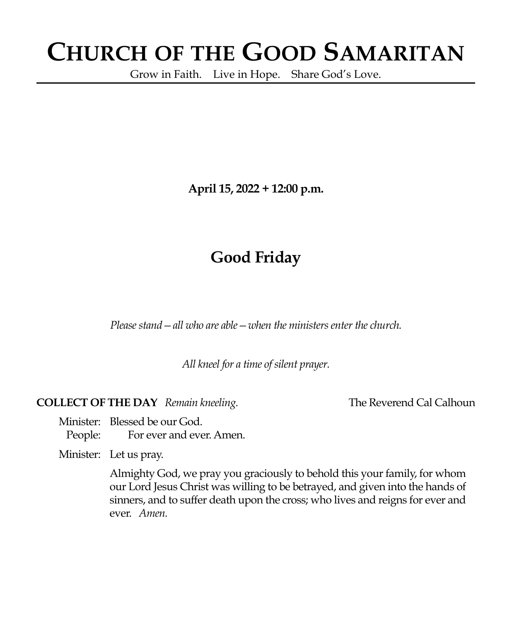# **CHURCH OF THE GOOD SAMARITAN**

Grow in Faith. Live in Hope. Share God's Love.

**April 15, 2022 + 12:00 p.m.**

## **Good Friday**

*Please stand—all who are able—when the ministers enter the church.*

*All kneel for a time of silent prayer.*

**COLLECT OF THE DAY** *Remain kneeling.* The Reverend Cal Calhoun

Minister: Blessed be our God. People: For ever and ever. Amen.

Minister: Let us pray.

Almighty God, we pray you graciously to behold this your family, for whom our Lord Jesus Christ was willing to be betrayed, and given into the hands of sinners, and to suffer death upon the cross; who lives and reigns for ever and ever. *Amen.*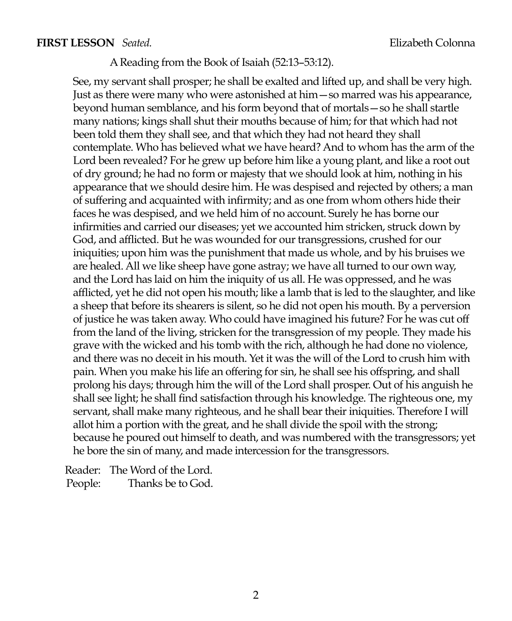#### **FIRST LESSON** *Seated.* Elizabeth Colonna

#### A Reading from the Book of Isaiah (52:13–53:12).

See, my servant shall prosper; he shall be exalted and lifted up, and shall be very high. Just as there were many who were astonished at him—so marred was his appearance, beyond human semblance, and his form beyond that of mortals—so he shall startle many nations; kings shall shut their mouths because of him; for that which had not been told them they shall see, and that which they had not heard they shall contemplate. Who has believed what we have heard? And to whom has the arm of the Lord been revealed? For he grew up before him like a young plant, and like a root out of dry ground; he had no form or majesty that we should look at him, nothing in his appearance that we should desire him. He was despised and rejected by others; a man of suffering and acquainted with infirmity; and as one from whom others hide their faces he was despised, and we held him of no account. Surely he has borne our infirmities and carried our diseases; yet we accounted him stricken, struck down by God, and afflicted. But he was wounded for our transgressions, crushed for our iniquities; upon him was the punishment that made us whole, and by his bruises we are healed. All we like sheep have gone astray; we have all turned to our own way, and the Lord has laid on him the iniquity of us all. He was oppressed, and he was afflicted, yet he did not open his mouth; like a lamb that is led to the slaughter, and like a sheep that before its shearers is silent, so he did not open his mouth. By a perversion of justice he was taken away. Who could have imagined his future? For he was cut off from the land of the living, stricken for the transgression of my people. They made his grave with the wicked and his tomb with the rich, although he had done no violence, and there was no deceit in his mouth. Yet it was the will of the Lord to crush him with pain. When you make his life an offering for sin, he shall see his offspring, and shall prolong his days; through him the will of the Lord shall prosper. Out of his anguish he shall see light; he shall find satisfaction through his knowledge. The righteous one, my servant, shall make many righteous, and he shall bear their iniquities. Therefore I will allot him a portion with the great, and he shall divide the spoil with the strong; because he poured out himself to death, and was numbered with the transgressors; yet he bore the sin of many, and made intercession for the transgressors.

Reader: The Word of the Lord. People: Thanks be to God.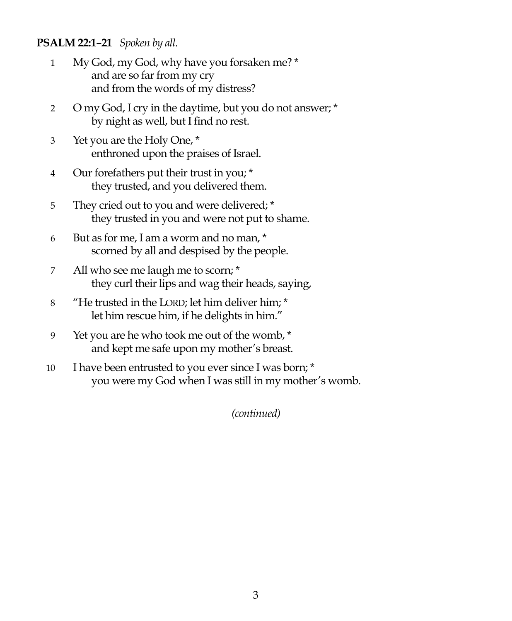### **PSALM 22:1–21** *Spoken by all.*

- 1 My God, my God, why have you forsaken me? \* and are so far from my cry and from the words of my distress?
- 2 O my God, I cry in the daytime, but you do not answer; \* by night as well, but I find no rest.
- 3 Yet you are the Holy One, \* enthroned upon the praises of Israel.
- 4 Our forefathers put their trust in you; \* they trusted, and you delivered them.
- 5 They cried out to you and were delivered; \* they trusted in you and were not put to shame.
- 6 But as for me, I am a worm and no man, \* scorned by all and despised by the people.
- 7 All who see me laugh me to scorn; \* they curl their lips and wag their heads, saying,
- 8 "He trusted in the LORD; let him deliver him; \* let him rescue him, if he delights in him."
- 9 Yet you are he who took me out of the womb, \* and kept me safe upon my mother's breast.
- 10 I have been entrusted to you ever since I was born; \* you were my God when I was still in my mother's womb.

*(continued)*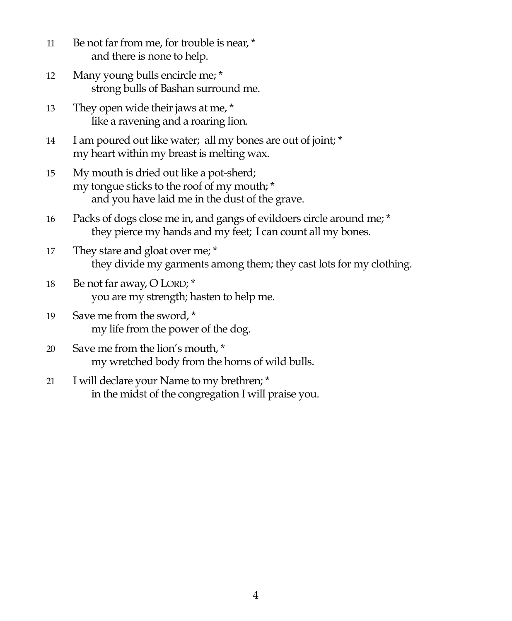| 11 | Be not far from me, for trouble is near, * |
|----|--------------------------------------------|
|    | and there is none to help.                 |

- 12 Many young bulls encircle me; \* strong bulls of Bashan surround me.
- 13 They open wide their jaws at me, \* like a ravening and a roaring lion.
- 14 I am poured out like water; all my bones are out of joint; \* my heart within my breast is melting wax.
- 15 My mouth is dried out like a pot-sherd; my tongue sticks to the roof of my mouth; \* and you have laid me in the dust of the grave.
- 16 Packs of dogs close me in, and gangs of evildoers circle around me; \* they pierce my hands and my feet; I can count all my bones.
- 17 They stare and gloat over me; \* they divide my garments among them; they cast lots for my clothing.
- 18 Be not far away, O LORD; \* you are my strength; hasten to help me.
- 19 Save me from the sword, \* my life from the power of the dog.
- 20 Save me from the lion's mouth, \* my wretched body from the horns of wild bulls.
- 21 I will declare your Name to my brethren; \* in the midst of the congregation I will praise you.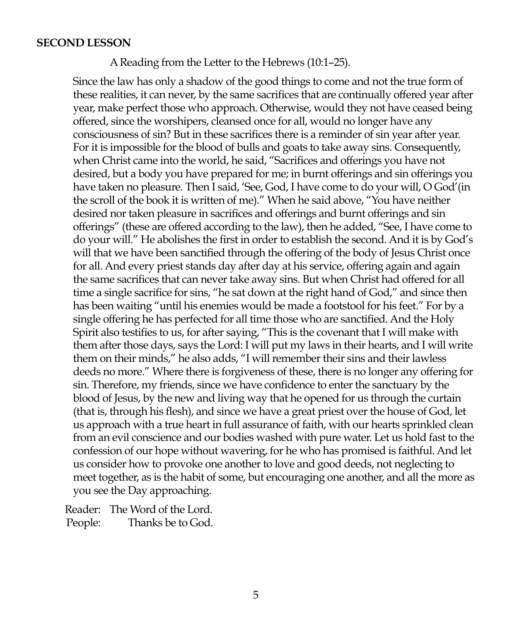#### **SECOND LESSON**

A Reading from the Letter to the Hebrews (10:1–25).

Since the law has only a shadow of the good things to come and not the true form of these realities, it can never, by the same sacrifices that are continually offered year after year, make perfect those who approach. Otherwise, would they not have ceased being offered, since the worshipers, cleansed once for all, would no longer have any consciousness of sin? But in these sacrifices there is a reminder of sin year after year. For it is impossible for the blood of bulls and goats to take away sins. Consequently, when Christ came into the world, he said, "Sacrifices and offerings you have not desired, but a body you have prepared for me; in burnt offerings and sin offerings you have taken no pleasure. Then I said, 'See, God, I have come to do your will, O God'(in the scroll of the book it is written of me)." When he said above, "You have neither desired nor taken pleasure in sacrifices and offerings and burnt offerings and sin offerings" (these are offered according to the law), then he added, "See, I have come to do your will." He abolishes the first in order to establish the second. And it is by God's will that we have been sanctified through the offering of the body of Jesus Christ once for all. And every priest stands day after day at his service, offering again and again the same sacrifices that can never take away sins. But when Christ had offered for all time a single sacrifice for sins, "he sat down at the right hand of God," and since then has been waiting "until his enemies would be made a footstool for his feet." For by a single offering he has perfected for all time those who are sanctified. And the Holy Spirit also testifies to us, for after saying, "This is the covenant that I will make with them after those days, says the Lord: I will put my laws in their hearts, and I will write them on their minds," he also adds, "I will remember their sins and their lawless deeds no more." Where there is forgiveness of these, there is no longer any offering for sin. Therefore, my friends, since we have confidence to enter the sanctuary by the blood of Jesus, by the new and living way that he opened for us through the curtain (that is, through his flesh), and since we have a great priest over the house of God, let us approach with a true heart in full assurance of faith, with our hearts sprinkled clean from an evil conscience and our bodies washed with pure water. Let us hold fast to the confession of our hope without wavering, for he who has promised is faithful. And let us consider how to provoke one another to love and good deeds, not neglecting to meet together, as is the habit of some, but encouraging one another, and all the more as you see the Day approaching.

Reader: The Word of the Lord. People: Thanks be to God.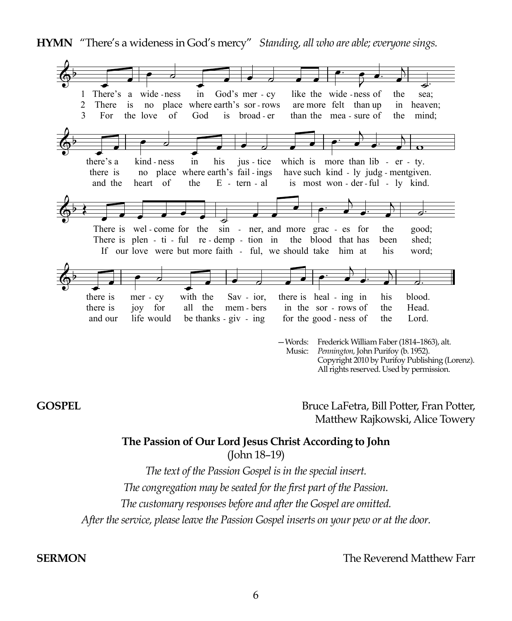**HYMN** "There's a wideness in God's mercy" *Standing, all who are able; everyone sings.*



—Words: Frederick William Faber (1814–1863), alt. Music: *Pennington,* John Purifoy (b. 1952). Copyright 2010 by Purifoy Publishing (Lorenz). All rights reserved. Used by permission.

**GOSPEL** Bruce LaFetra, Bill Potter, Fran Potter, Matthew Rajkowski, Alice Towery

### **The Passion of Our Lord Jesus Christ According to John** (John 18–19)

*The text of the Passion Gospel is in the special insert. The congregation may be seated for the first part of the Passion.*

*The customary responses before and after the Gospel are omitted.*

*After the service, please leave the Passion Gospel inserts on your pew or at the door.*

**SERMON** The Reverend Matthew Farr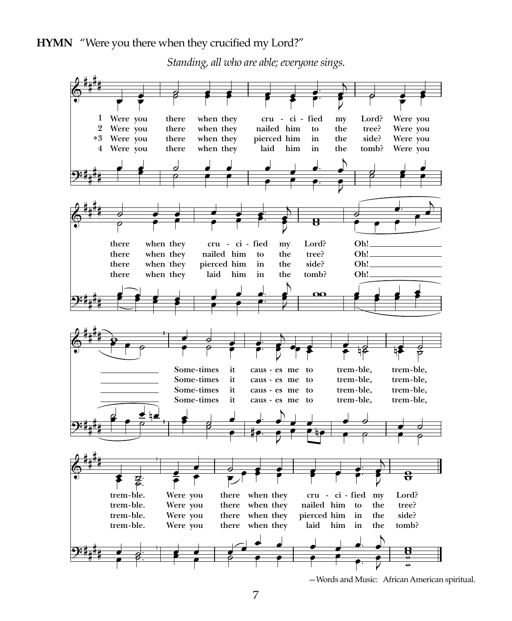

*Standing, all who are able; everyone sings.*



<sup>—</sup>Words and Music: African American spiritual.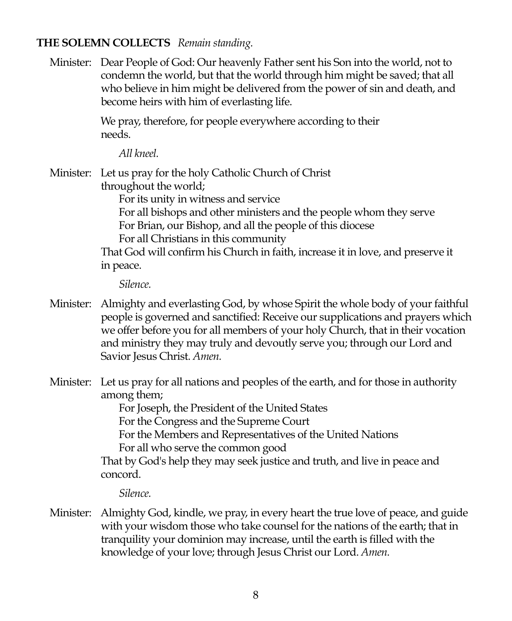#### **THE SOLEMN COLLECTS** *Remain standing.*

Minister: Dear People of God: Our heavenly Father sent his Son into the world, not to condemn the world, but that the world through him might be saved; that all who believe in him might be delivered from the power of sin and death, and become heirs with him of everlasting life.

> We pray, therefore, for people everywhere according to their needs.

*All kneel.*

Minister: Let us pray for the holy Catholic Church of Christ throughout the world;

> For its unity in witness and service For all bishops and other ministers and the people whom they serve For Brian, our Bishop, and all the people of this diocese For all Christians in this community

That God will confirm his Church in faith, increase it in love, and preserve it in peace.

*Silence.*

Minister: Almighty and everlasting God, by whose Spirit the whole body of your faithful people is governed and sanctified: Receive our supplications and prayers which we offer before you for all members of your holy Church, that in their vocation and ministry they may truly and devoutly serve you; through our Lord and Savior Jesus Christ. *Amen.*

Minister: Let us pray for all nations and peoples of the earth, and for those in authority among them;

For Joseph, the President of the United States For the Congress and the Supreme Court For the Members and Representatives of the United Nations For all who serve the common good That by God's help they may seek justice and truth, and live in peace and concord.

*Silence.*

Minister: Almighty God, kindle, we pray, in every heart the true love of peace, and guide with your wisdom those who take counsel for the nations of the earth; that in tranquility your dominion may increase, until the earth is filled with the knowledge of your love; through Jesus Christ our Lord. *Amen.*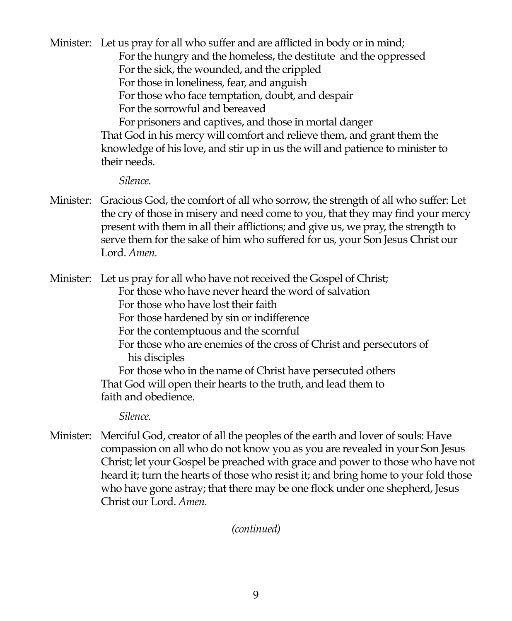Minister: Let us pray for all who suffer and are afflicted in body or in mind; For the hungry and the homeless, the destitute and the oppressed For the sick, the wounded, and the crippled For those in loneliness, fear, and anguish For those who face temptation, doubt, and despair For the sorrowful and bereaved For prisoners and captives, and those in mortal danger That God in his mercy will comfort and relieve them, and grant them the knowledge of his love, and stir up in us the will and patience to minister to their needs.

*Silence.*

Minister: Gracious God, the comfort of all who sorrow, the strength of all who suffer: Let the cry of those in misery and need come to you, that they may find your mercy present with them in all their afflictions; and give us, we pray, the strength to serve them for the sake of him who suffered for us, your Son Jesus Christ our Lord. *Amen.*

Minister: Let us pray for all who have not received the Gospel of Christ; For those who have never heard the word of salvation For those who have lost their faith For those hardened by sin or indifference For the contemptuous and the scornful For those who are enemies of the cross of Christ and persecutors of his disciples For those who in the name of Christ have persecuted others That God will open their hearts to the truth, and lead them to faith and obedience.

*Silence.*

Minister: Merciful God, creator of all the peoples of the earth and lover of souls: Have compassion on all who do not know you as you are revealed in your Son Jesus Christ; let your Gospel be preached with grace and power to those who have not heard it; turn the hearts of those who resist it; and bring home to your fold those who have gone astray; that there may be one flock under one shepherd, Jesus Christ our Lord. *Amen.*

*(continued)*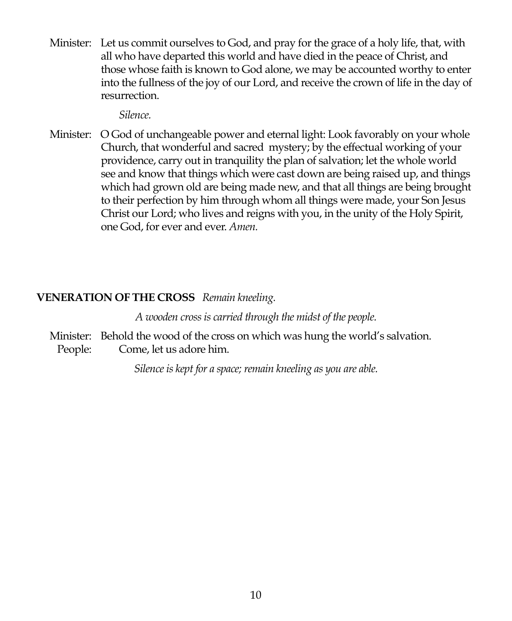Minister: Let us commit ourselves to God, and pray for the grace of a holy life, that, with all who have departed this world and have died in the peace of Christ, and those whose faith is known to God alone, we may be accounted worthy to enter into the fullness of the joy of our Lord, and receive the crown of life in the day of resurrection.

*Silence.*

Minister: O God of unchangeable power and eternal light: Look favorably on your whole Church, that wonderful and sacred mystery; by the effectual working of your providence, carry out in tranquility the plan of salvation; let the whole world see and know that things which were cast down are being raised up, and things which had grown old are being made new, and that all things are being brought to their perfection by him through whom all things were made, your Son Jesus Christ our Lord; who lives and reigns with you, in the unity of the Holy Spirit, one God, for ever and ever. *Amen.*

#### **VENERATION OF THE CROSS** *Remain kneeling.*

*A wooden cross is carried through the midst of the people.*

Minister: Behold the wood of the cross on which was hung the world's salvation. People: Come, let us adore him.

*Silence is kept for a space; remain kneeling as you are able.*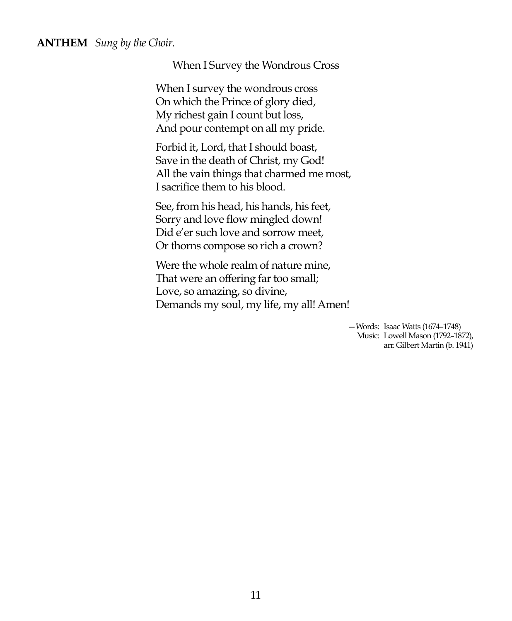#### **ANTHEM** *Sung by the Choir.*

When I Survey the Wondrous Cross

When I survey the wondrous cross On which the Prince of glory died, My richest gain I count but loss, And pour contempt on all my pride.

Forbid it, Lord, that I should boast, Save in the death of Christ, my God! All the vain things that charmed me most, I sacrifice them to his blood.

See, from his head, his hands, his feet, Sorry and love flow mingled down! Did e'er such love and sorrow meet, Or thorns compose so rich a crown?

Were the whole realm of nature mine, That were an offering far too small; Love, so amazing, so divine, Demands my soul, my life, my all! Amen!

> —Words: Isaac Watts (1674–1748) Music: Lowell Mason (1792–1872), arr. Gilbert Martin (b. 1941)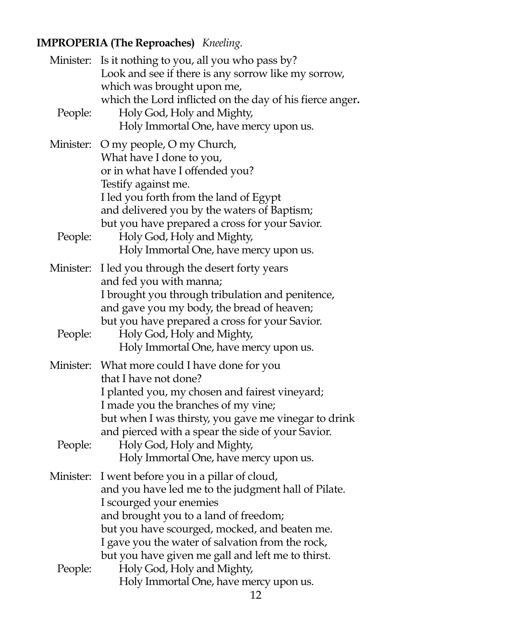### **IMPROPERIA (The Reproaches)** *Kneeling.*

| Minister:<br>People: | Is it nothing to you, all you who pass by?<br>Look and see if there is any sorrow like my sorrow,<br>which was brought upon me,<br>which the Lord inflicted on the day of his fierce anger.<br>Holy God, Holy and Mighty,<br>Holy Immortal One, have mercy upon us.                                                                        |
|----------------------|--------------------------------------------------------------------------------------------------------------------------------------------------------------------------------------------------------------------------------------------------------------------------------------------------------------------------------------------|
| Minister:<br>People: | O my people, O my Church,<br>What have I done to you,<br>or in what have I offended you?<br>Testify against me.<br>I led you forth from the land of Egypt<br>and delivered you by the waters of Baptism;<br>but you have prepared a cross for your Savior.<br>Holy God, Holy and Mighty,<br>Holy Immortal One, have mercy upon us.         |
| Minister:<br>People: | I led you through the desert forty years<br>and fed you with manna;<br>I brought you through tribulation and penitence,<br>and gave you my body, the bread of heaven;<br>but you have prepared a cross for your Savior.<br>Holy God, Holy and Mighty,<br>Holy Immortal One, have mercy upon us.                                            |
| Minister:<br>People: | What more could I have done for you<br>that I have not done?<br>I planted you, my chosen and fairest vineyard;<br>I made you the branches of my vine;<br>but when I was thirsty, you gave me vinegar to drink<br>and pierced with a spear the side of your Savior.<br>Holy God, Holy and Mighty,<br>Holy Immortal One, have mercy upon us. |
| Minister:            | I went before you in a pillar of cloud,<br>and you have led me to the judgment hall of Pilate.<br>I scourged your enemies<br>and brought you to a land of freedom;<br>but you have scourged, mocked, and beaten me.<br>I gave you the water of salvation from the rock,<br>but you have given me gall and left me to thirst.               |
| People:              | Holy God, Holy and Mighty,<br>Holy Immortal One, have mercy upon us.                                                                                                                                                                                                                                                                       |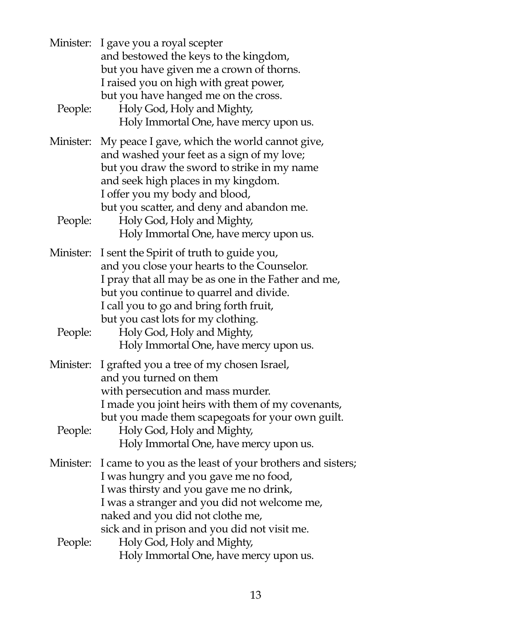| Minister:<br>People: | I gave you a royal scepter<br>and bestowed the keys to the kingdom,<br>but you have given me a crown of thorns.<br>I raised you on high with great power,<br>but you have hanged me on the cross.<br>Holy God, Holy and Mighty,<br>Holy Immortal One, have mercy upon us.                                                                                |
|----------------------|----------------------------------------------------------------------------------------------------------------------------------------------------------------------------------------------------------------------------------------------------------------------------------------------------------------------------------------------------------|
| Minister:<br>People: | My peace I gave, which the world cannot give,<br>and washed your feet as a sign of my love;<br>but you draw the sword to strike in my name<br>and seek high places in my kingdom.<br>I offer you my body and blood,<br>but you scatter, and deny and abandon me.<br>Holy God, Holy and Mighty,<br>Holy Immortal One, have mercy upon us.                 |
| Minister:<br>People: | I sent the Spirit of truth to guide you,<br>and you close your hearts to the Counselor.<br>I pray that all may be as one in the Father and me,<br>but you continue to quarrel and divide.<br>I call you to go and bring forth fruit,<br>but you cast lots for my clothing.<br>Holy God, Holy and Mighty,<br>Holy Immortal One, have mercy upon us.       |
| Minister:<br>People: | I grafted you a tree of my chosen Israel,<br>and you turned on them<br>with persecution and mass murder.<br>I made you joint heirs with them of my covenants,<br>but you made them scapegoats for your own guilt.<br>Holy God, Holy and Mighty,<br>Holy Immortal One, have mercy upon us.                                                                |
| Minister:<br>People: | I came to you as the least of your brothers and sisters;<br>I was hungry and you gave me no food,<br>I was thirsty and you gave me no drink,<br>I was a stranger and you did not welcome me,<br>naked and you did not clothe me,<br>sick and in prison and you did not visit me.<br>Holy God, Holy and Mighty,<br>Holy Immortal One, have mercy upon us. |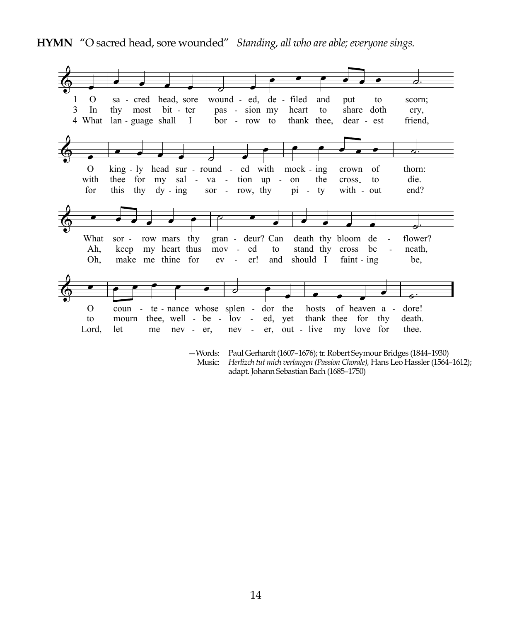

—Words: Paul Gerhardt (1607–1676); tr. Robert Seymour Bridges (1844–1930) Music: *Herlizch tut mich verlangen (Passion Chorale),* Hans Leo Hassler (1564–1612); adapt. Johann Sebastian Bach (1685–1750)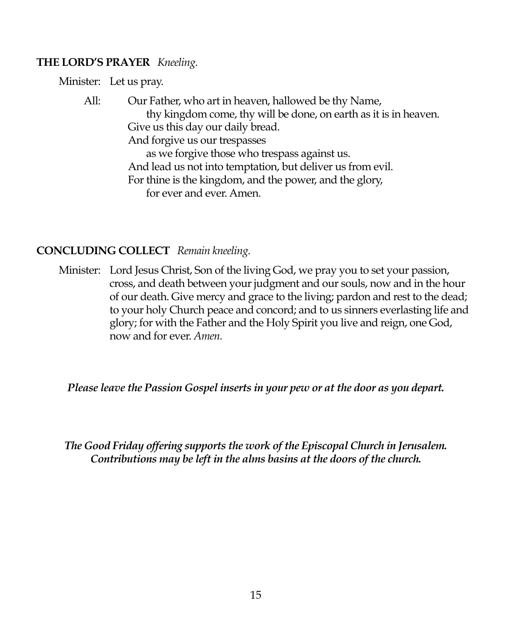#### **THE LORD'S PRAYER** *Kneeling.*

Minister: Let us pray.

All: Our Father, who art in heaven, hallowed be thy Name, thy kingdom come, thy will be done, on earth as it is in heaven. Give us this day our daily bread. And forgive us our trespasses as we forgive those who trespass against us. And lead us not into temptation, but deliver us from evil. For thine is the kingdom, and the power, and the glory, for ever and ever. Amen.

#### **CONCLUDING COLLECT** *Remain kneeling.*

Minister: Lord Jesus Christ, Son of the living God, we pray you to set your passion, cross, and death between your judgment and our souls, now and in the hour of our death. Give mercy and grace to the living; pardon and rest to the dead; to your holy Church peace and concord; and to us sinners everlasting life and glory; for with the Father and the Holy Spirit you live and reign, one God, now and for ever. *Amen.*

*Please leave the Passion Gospel inserts in your pew or at the door as you depart.*

*The Good Friday offering supports the work of the Episcopal Church in Jerusalem. Contributions may be left in the alms basins at the doors of the church.*